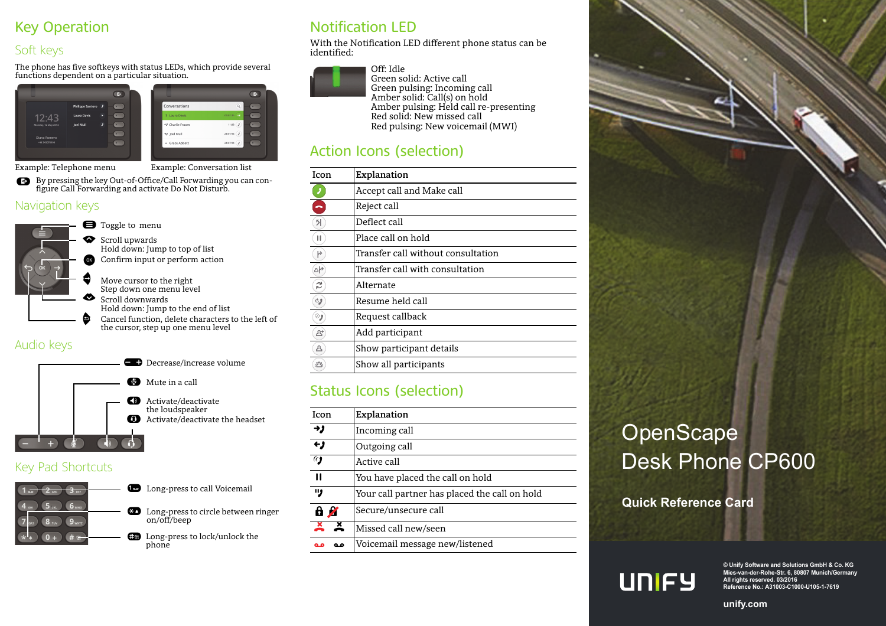# Key Operation

### Soft keys

The phone has five softkeys with status LEDs, which provide several functions dependent on a particular situation.





Example: Telephone menu Example: Conversation list

By pressing the key Out-of-Office/Call Forwarding you can con- \ figure Call Forwarding and activate Do Not Disturb.

#### Navigation keys



- **Move cursor to the right**<br>Step down one menu level
- Scroll downwardsHold down: Jump to the end of list
- ^ Cancel function, delete characters to the left of the cursor, step up one menu level

#### Audio keys



#### Key Pad Shortcuts



# Notification LED

With the Notification LED different phone status can be identified:



Off: Idle Green solid: Active call Green pulsing: Incoming call Amber solid: Call(s) on hold Amber pulsing: Held call re-presenting Red solid: New missed call Red pulsing: New voicemail (MWI)

# Action Icons (selection)

| Icon        | Explanation                         |
|-------------|-------------------------------------|
|             | Accept call and Make call           |
|             | Reject call                         |
| 키           | Deflect call                        |
| п           | Place call on hold                  |
| r           | Transfer call without consultation. |
| $\triangle$ | Transfer call with consultation     |
| z           | Alternate                           |
| CJ          | Resume held call                    |
| ్ర          | Request callback                    |
| 2"          | Add participant                     |
| ◬           | Show participant details            |
| ☎           | Show all participants               |
|             |                                     |

## Status Icons (selection)

| Icon                        | Explanation                                   |  |
|-----------------------------|-----------------------------------------------|--|
| ゥノ                          | Incoming call                                 |  |
| $\overline{\mathbf{t}}$     | Outgoing call                                 |  |
| $\overline{a}$              | Active call                                   |  |
| п                           | You have placed the call on hold              |  |
| IJ,                         | Your call partner has placed the call on hold |  |
| 8 A                         | Secure/unsecure call                          |  |
| $\frac{x}{x}$ $\frac{x}{x}$ | Missed call new/seen                          |  |
|                             | Voicemail message new/listened                |  |

# **OpenScape** Desk Phone CP600

**Quick Reference Card**



**© Unify Software and Solutions GmbH & Co. KG Mies-van-der-Rohe-Str. 6, 80807 Munich/Germany All rights reserved. 03/2016 Reference No.: A31003-C1000-U105-1-7619** 

**unify.com**